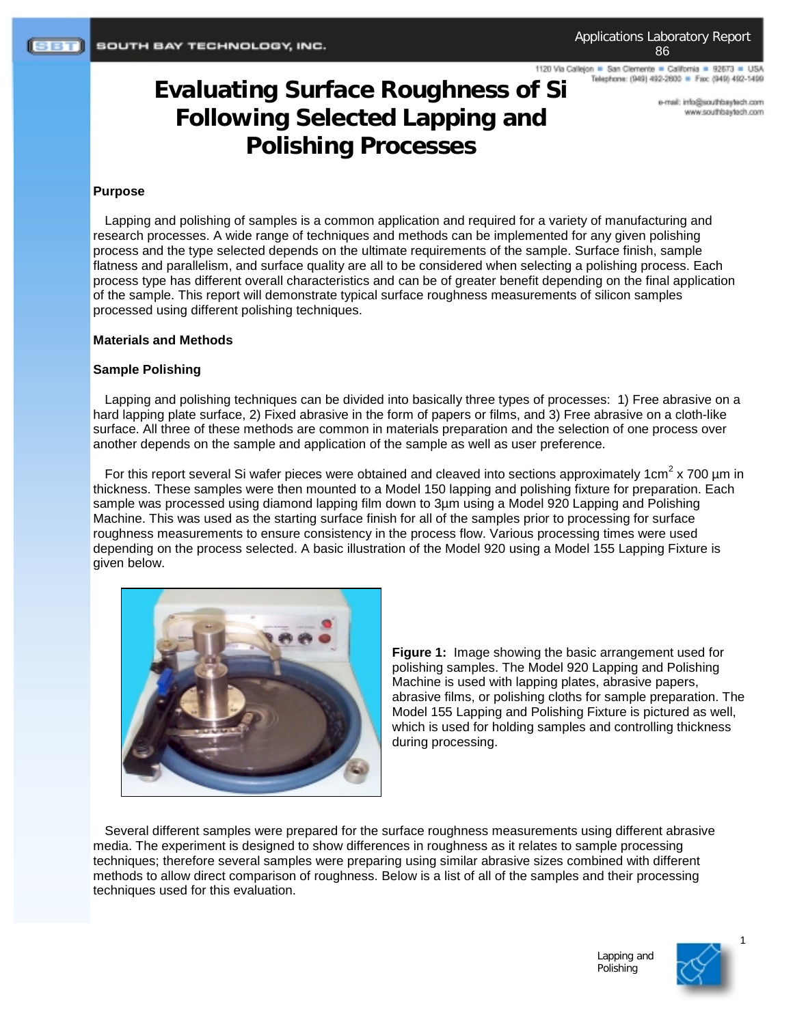1120 Via Callejon = San Clemente = California = 92673 = USA Telephone: (949) 492-2600 = Fax: (949) 492-1499

# **Evaluating Surface Roughness of Si Following Selected Lapping and Polishing Processes**

e-mail: info@southbaytech.com moo.floeyeedrib.com

#### **Purpose**

Lapping and polishing of samples is a common application and required for a variety of manufacturing and research processes. A wide range of techniques and methods can be implemented for any given polishing process and the type selected depends on the ultimate requirements of the sample. Surface finish, sample flatness and parallelism, and surface quality are all to be considered when selecting a polishing process. Each process type has different overall characteristics and can be of greater benefit depending on the final application of the sample. This report will demonstrate typical surface roughness measurements of silicon samples processed using different polishing techniques.

#### **Materials and Methods**

# **Sample Polishing**

Lapping and polishing techniques can be divided into basically three types of processes: 1) Free abrasive on a hard lapping plate surface, 2) Fixed abrasive in the form of papers or films, and 3) Free abrasive on a cloth-like surface. All three of these methods are common in materials preparation and the selection of one process over another depends on the sample and application of the sample as well as user preference.

For this report several Si wafer pieces were obtained and cleaved into sections approximately 1cm<sup>2</sup> x 700 µm in thickness. These samples were then mounted to a Model 150 lapping and polishing fixture for preparation. Each sample was processed using diamond lapping film down to 3µm using a Model 920 Lapping and Polishing Machine. This was used as the starting surface finish for all of the samples prior to processing for surface roughness measurements to ensure consistency in the process flow. Various processing times were used depending on the process selected. A basic illustration of the Model 920 using a Model 155 Lapping Fixture is given below.



**Figure 1:** Image showing the basic arrangement used for polishing samples. The Model 920 Lapping and Polishing Machine is used with lapping plates, abrasive papers, abrasive films, or polishing cloths for sample preparation. The Model 155 Lapping and Polishing Fixture is pictured as well, which is used for holding samples and controlling thickness during processing.

Several different samples were prepared for the surface roughness measurements using different abrasive media. The experiment is designed to show differences in roughness as it relates to sample processing techniques; therefore several samples were preparing using similar abrasive sizes combined with different methods to allow direct comparison of roughness. Below is a list of all of the samples and their processing techniques used for this evaluation.

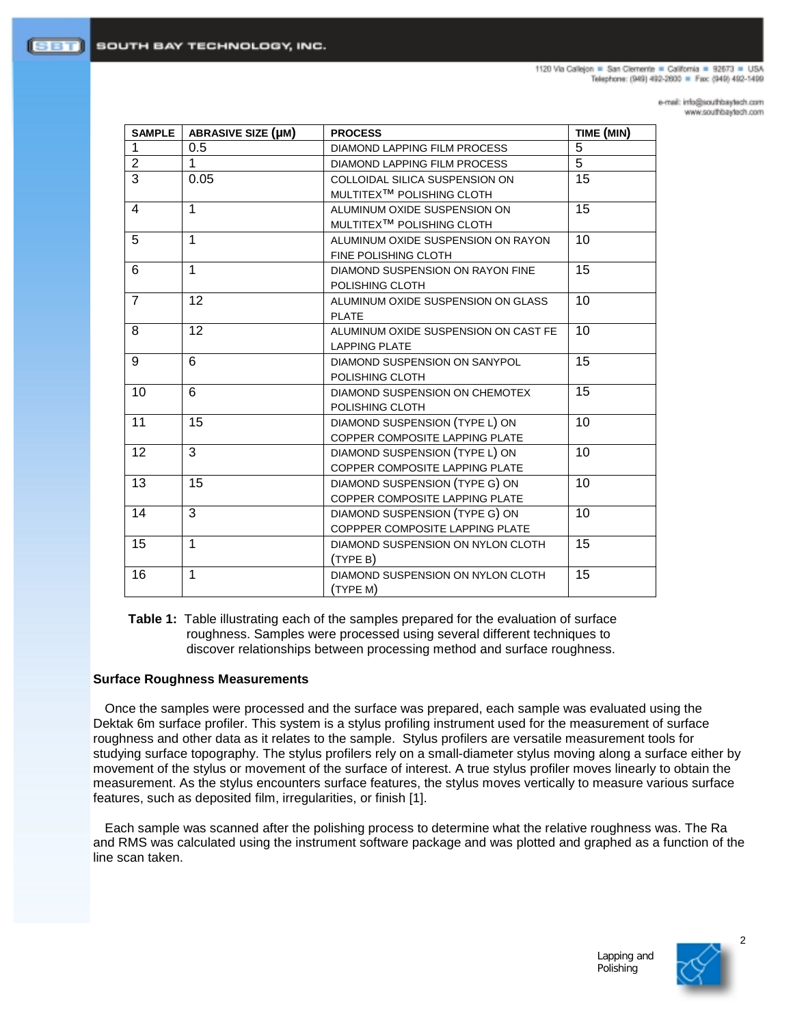1120 Via Calleion . San Clemente . California . 92673 . USA Telephone: (949) 492-2600 = Fax: (949) 492-1499

> e-mail: info@southbaytech.com www.southbaytech.com

| <b>SAMPLE</b>  | <b>ABRASIVE SIZE (µM)</b> | <b>PROCESS</b>                        | TIME (MIN) |
|----------------|---------------------------|---------------------------------------|------------|
| 1              | 0.5                       | <b>DIAMOND LAPPING FILM PROCESS</b>   | 5          |
| $\overline{2}$ | 1                         | DIAMOND LAPPING FILM PROCESS          | 5          |
| 3              | 0.05                      | COLLOIDAL SILICA SUSPENSION ON        | 15         |
|                |                           | MULTITEX <sup>™</sup> POLISHING CLOTH |            |
| 4              | $\mathbf{1}$              | ALUMINUM OXIDE SUSPENSION ON          | 15         |
|                |                           | MULTITEX <sup>™</sup> POLISHING CLOTH |            |
| 5              | $\mathbf{1}$              | ALUMINUM OXIDE SUSPENSION ON RAYON    | 10         |
|                |                           | FINE POLISHING CLOTH                  |            |
| 6              | $\mathbf{1}$              | DIAMOND SUSPENSION ON RAYON FINE      | 15         |
|                |                           | POLISHING CLOTH                       |            |
| $\overline{7}$ | 12                        | ALUMINUM OXIDE SUSPENSION ON GLASS    | 10         |
|                |                           | <b>PLATE</b>                          |            |
| 8              | 12                        | ALUMINUM OXIDE SUSPENSION ON CAST FE  | 10         |
|                |                           | <b>LAPPING PLATE</b>                  |            |
| 9              | 6                         | DIAMOND SUSPENSION ON SANYPOL         | 15         |
|                |                           | POLISHING CLOTH                       |            |
| 10             | 6                         | DIAMOND SUSPENSION ON CHEMOTEX        | 15         |
|                |                           | POLISHING CLOTH                       |            |
| 11             | 15                        | DIAMOND SUSPENSION (TYPE L) ON        | 10         |
|                |                           | COPPER COMPOSITE LAPPING PLATE        |            |
| 12             | 3                         | DIAMOND SUSPENSION (TYPE L) ON        | 10         |
|                |                           | COPPER COMPOSITE LAPPING PLATE        |            |
| 13             | 15                        | DIAMOND SUSPENSION (TYPE G) ON        | 10         |
|                |                           | COPPER COMPOSITE LAPPING PLATE        |            |
| 14             | 3                         | DIAMOND SUSPENSION (TYPE G) ON        | 10         |
|                |                           | COPPPER COMPOSITE LAPPING PLATE       |            |
| 15             | $\mathbf{1}$              | DIAMOND SUSPENSION ON NYLON CLOTH     | 15         |
|                |                           | (TYPE B)                              |            |
| 16             | $\mathbf{1}$              | DIAMOND SUSPENSION ON NYLON CLOTH     | 15         |
|                |                           | (TYPE M)                              |            |

**Table 1:** Table illustrating each of the samples prepared for the evaluation of surface roughness. Samples were processed using several different techniques to discover relationships between processing method and surface roughness.

### **Surface Roughness Measurements**

Once the samples were processed and the surface was prepared, each sample was evaluated using the Dektak 6m surface profiler. This system is a stylus profiling instrument used for the measurement of surface roughness and other data as it relates to the sample. Stylus profilers are versatile measurement tools for studying surface topography. The stylus profilers rely on a small-diameter stylus moving along a surface either by movement of the stylus or movement of the surface of interest. A true stylus profiler moves linearly to obtain the measurement. As the stylus encounters surface features, the stylus moves vertically to measure various surface features, such as deposited film, irregularities, or finish [1].

Each sample was scanned after the polishing process to determine what the relative roughness was. The Ra and RMS was calculated using the instrument software package and was plotted and graphed as a function of the line scan taken.

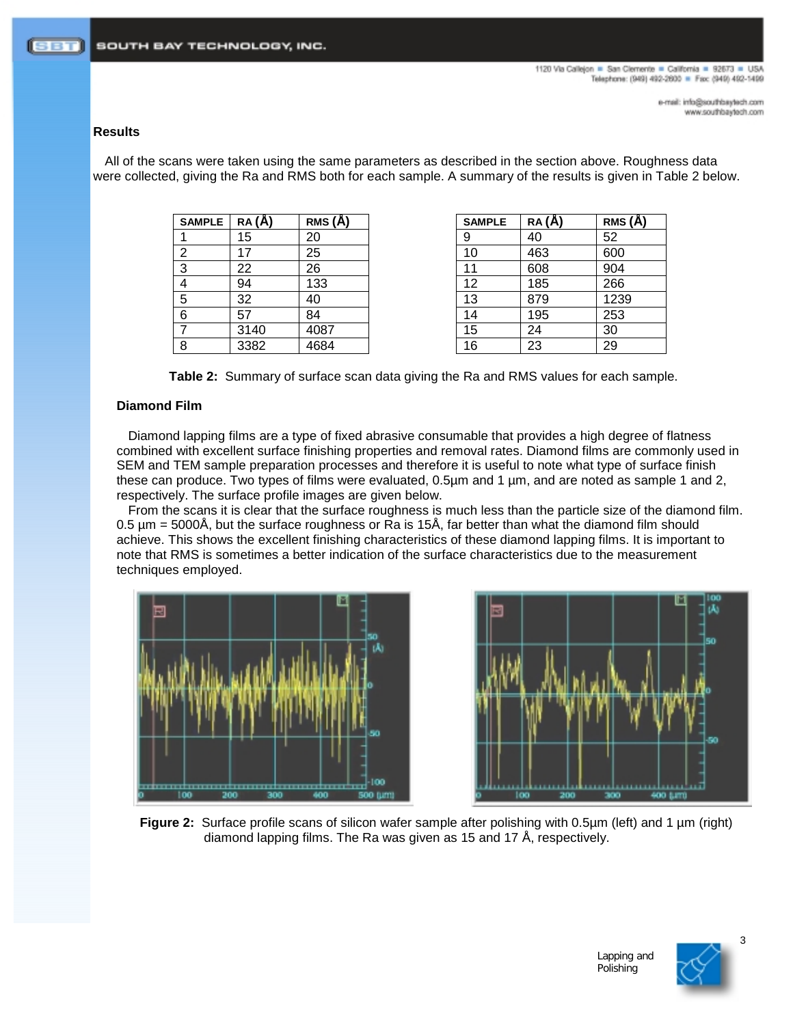# **Results**

All of the scans were taken using the same parameters as described in the section above. Roughness data were collected, giving the Ra and RMS both for each sample. A summary of the results is given in Table 2 below.

| <b>SAMPLE</b> | $RA(\AA)$ | RMS (Å) | <b>SAMPLE</b> | RA (A) | RMS (Å) |
|---------------|-----------|---------|---------------|--------|---------|
|               | 15        | 20      | 9             | 40     | 52      |
| 2             | 17        | 25      | 10            | 463    | 600     |
| 3             | 22        | 26      |               | 608    | 904     |
|               | 94        | 133     | 12            | 185    | 266     |
| 5             | 32        | 40      | 13            | 879    | 1239    |
| 6             | 57        | 84      | 14            | 195    | 253     |
|               | 3140      | 4087    | 15            | 24     | 30      |
| 8             | 3382      | 4684    | 16            | 23     | 29      |

| <b>SAMPLE</b> | RA(A) | RMS (A) | <b>SAMPLE</b> | RA(A) | RMS (A) |
|---------------|-------|---------|---------------|-------|---------|
|               | 15    | 20      | 9             | 40    | 52      |
| 2             | 17    | 25      | 10            | 463   | 600     |
| 3             | 22    | 26      | 11            | 608   | 904     |
| 4             | 94    | 133     | 12            | 185   | 266     |
| 5             | 32    | 40      | 13            | 879   | 1239    |
| 6             | 57    | 84      | 14            | 195   | 253     |
|               | 3140  | 4087    | 15            | 24    | 30      |
| 8             | 3382  | 4684    | 16            | 23    | 29      |

**Table 2:** Summary of surface scan data giving the Ra and RMS values for each sample.

# **Diamond Film**

Diamond lapping films are a type of fixed abrasive consumable that provides a high degree of flatness combined with excellent surface finishing properties and removal rates. Diamond films are commonly used in SEM and TEM sample preparation processes and therefore it is useful to note what type of surface finish these can produce. Two types of films were evaluated, 0.5µm and 1 µm, and are noted as sample 1 and 2, respectively. The surface profile images are given below.

From the scans it is clear that the surface roughness is much less than the particle size of the diamond film. 0.5 µm = 5000Å, but the surface roughness or Ra is 15Å, far better than what the diamond film should achieve. This shows the excellent finishing characteristics of these diamond lapping films. It is important to note that RMS is sometimes a better indication of the surface characteristics due to the measurement techniques employed.





**Figure 2:** Surface profile scans of silicon wafer sample after polishing with 0.5µm (left) and 1 µm (right) diamond lapping films. The Ra was given as 15 and 17 Å, respectively.

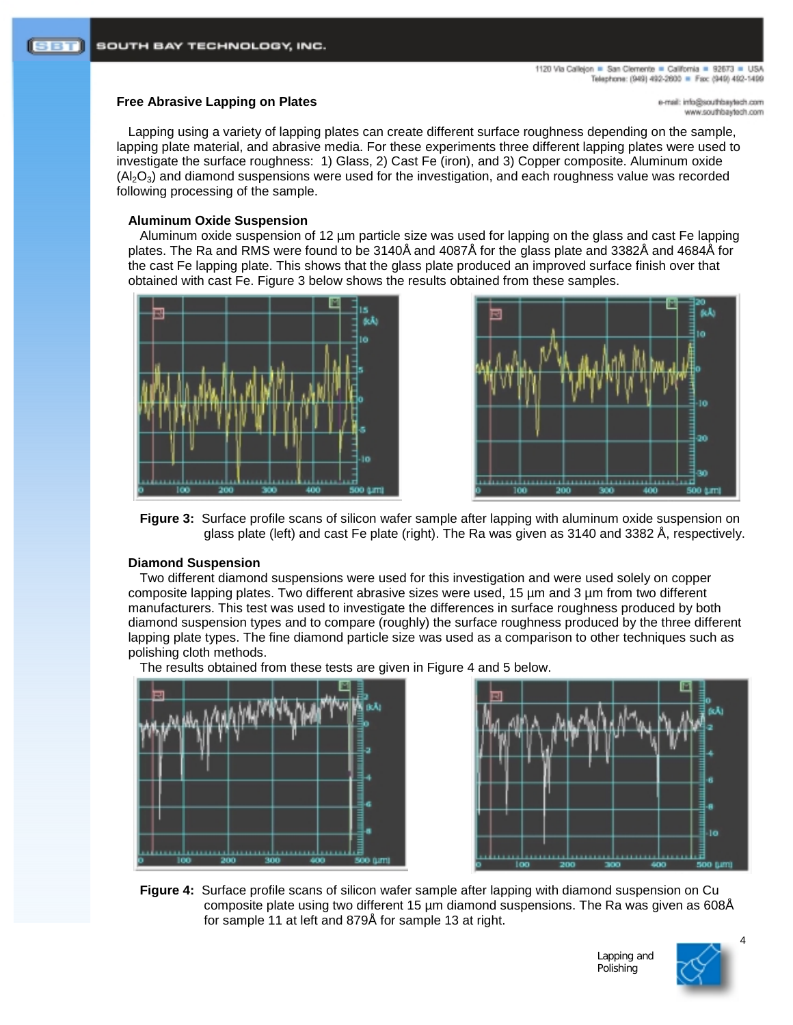# **Free Abrasive Lapping on Plates**

mo.rloetysdrtuos@ohri.ilam-e moo.floelytedfuoz.www

Lapping using a variety of lapping plates can create different surface roughness depending on the sample, lapping plate material, and abrasive media. For these experiments three different lapping plates were used to investigate the surface roughness: 1) Glass, 2) Cast Fe (iron), and 3) Copper composite. Aluminum oxide  $(Al_2O_3)$  and diamond suspensions were used for the investigation, and each roughness value was recorded following processing of the sample.

# **Aluminum Oxide Suspension**

Aluminum oxide suspension of 12 µm particle size was used for lapping on the glass and cast Fe lapping plates. The Ra and RMS were found to be 3140Å and 4087Å for the glass plate and 3382Å and 4684Å for the cast Fe lapping plate. This shows that the glass plate produced an improved surface finish over that obtained with cast Fe. Figure 3 below shows the results obtained from these samples.





**Figure 3:** Surface profile scans of silicon wafer sample after lapping with aluminum oxide suspension on glass plate (left) and cast Fe plate (right). The Ra was given as 3140 and 3382 Å, respectively.

### **Diamond Suspension**

Two different diamond suspensions were used for this investigation and were used solely on copper composite lapping plates. Two different abrasive sizes were used, 15 µm and 3 µm from two different manufacturers. This test was used to investigate the differences in surface roughness produced by both diamond suspension types and to compare (roughly) the surface roughness produced by the three different lapping plate types. The fine diamond particle size was used as a comparison to other techniques such as polishing cloth methods.





**Figure 4:** Surface profile scans of silicon wafer sample after lapping with diamond suspension on Cu composite plate using two different 15 µm diamond suspensions. The Ra was given as 608Å for sample 11 at left and 879Å for sample 13 at right.



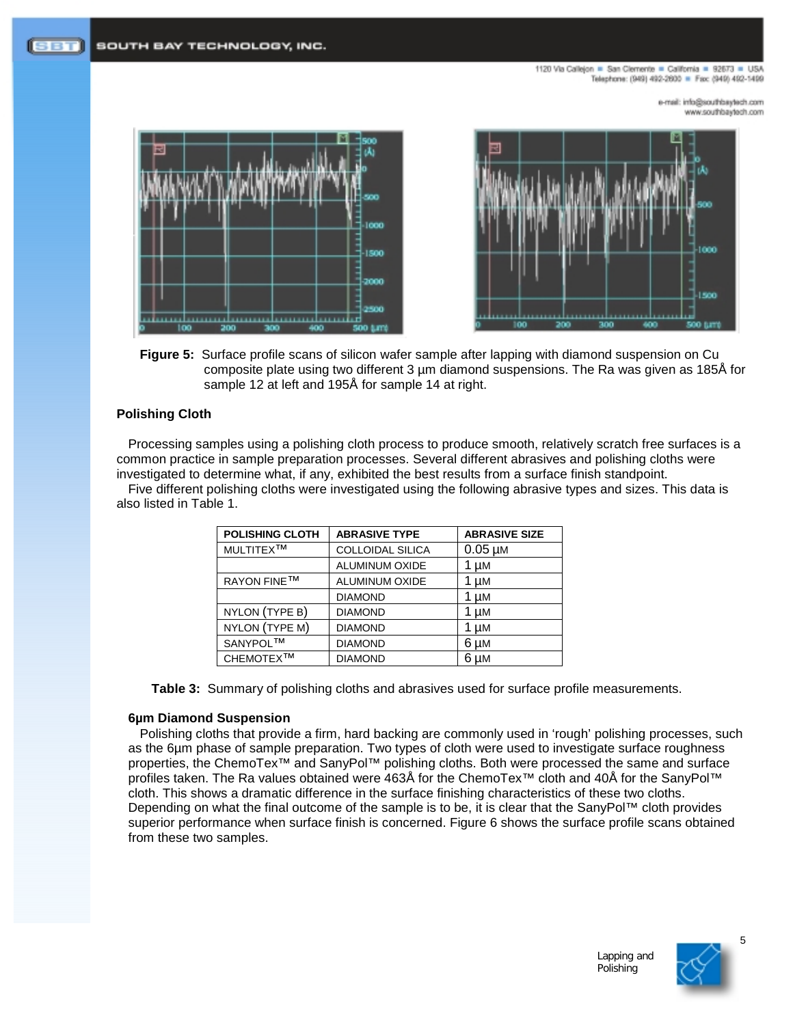1120 Via Calleion . San Clemente . California . 92673 . USA Telephone: (949) 492-2600 = Fax: (949) 492-1499

> e-mail: info@southbaytech.com moo.floeyeedrib.com







### **Polishing Cloth**

Processing samples using a polishing cloth process to produce smooth, relatively scratch free surfaces is a common practice in sample preparation processes. Several different abrasives and polishing cloths were investigated to determine what, if any, exhibited the best results from a surface finish standpoint.

Five different polishing cloths were investigated using the following abrasive types and sizes. This data is also listed in Table 1.

| <b>POLISHING CLOTH</b> | <b>ABRASIVE TYPE</b>    | <b>ABRASIVE SIZE</b> |
|------------------------|-------------------------|----------------------|
| MULTITEX <sup>TM</sup> | <b>COLLOIDAL SILICA</b> | $0.05 \mu M$         |
|                        | <b>ALUMINUM OXIDE</b>   | 1 µM                 |
| <b>RAYON FINE™</b>     | <b>ALUMINUM OXIDE</b>   | 1 µM                 |
|                        | <b>DIAMOND</b>          | 1 µM                 |
| NYLON (TYPE B)         | <b>DIAMOND</b>          | 1 µM                 |
| NYLON (TYPE M)         | <b>DIAMOND</b>          | 1 µM                 |
| SANYPOL™               | <b>DIAMOND</b>          | 6 µM                 |
| CHEMOTEX™              | <b>DIAMOND</b>          | 6 µM                 |

**Table 3:** Summary of polishing cloths and abrasives used for surface profile measurements.

#### **6µm Diamond Suspension**

Polishing cloths that provide a firm, hard backing are commonly used in 'rough' polishing processes, such as the 6µm phase of sample preparation. Two types of cloth were used to investigate surface roughness properties, the ChemoTex™ and SanyPol™ polishing cloths. Both were processed the same and surface profiles taken. The Ra values obtained were 463Å for the ChemoTex™ cloth and 40Å for the SanyPol™ cloth. This shows a dramatic difference in the surface finishing characteristics of these two cloths. Depending on what the final outcome of the sample is to be, it is clear that the SanyPol™ cloth provides superior performance when surface finish is concerned. Figure 6 shows the surface profile scans obtained from these two samples.

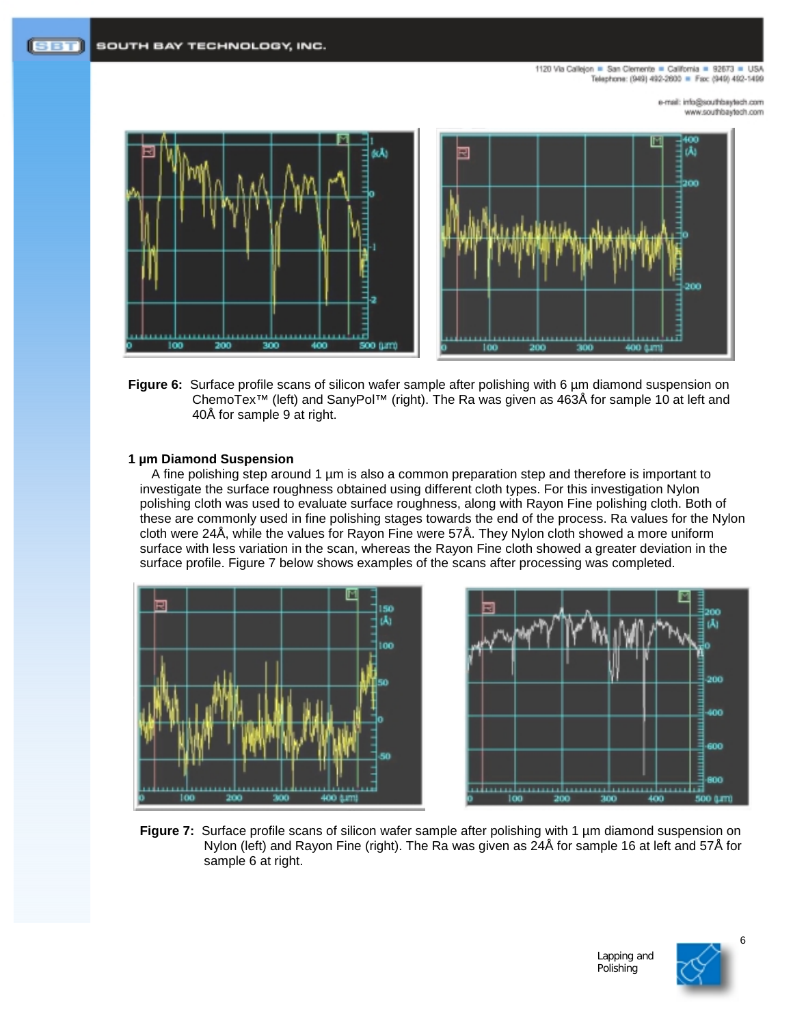1120 Via Calleion . San Clemente . California . 92673 . USA Telephone: (949) 492-2600 = Fax: (949) 492-1499

> e-mail: info@southbaytech.com www.southbaytech.com



**Figure 6:** Surface profile scans of silicon wafer sample after polishing with 6  $\mu$ m diamond suspension on ChemoTex™ (left) and SanyPol™ (right). The Ra was given as 463Å for sample 10 at left and 40Å for sample 9 at right.

#### **1 µm Diamond Suspension**

A fine polishing step around 1 µm is also a common preparation step and therefore is important to investigate the surface roughness obtained using different cloth types. For this investigation Nylon polishing cloth was used to evaluate surface roughness, along with Rayon Fine polishing cloth. Both of these are commonly used in fine polishing stages towards the end of the process. Ra values for the Nylon cloth were 24Å, while the values for Rayon Fine were 57Å. They Nylon cloth showed a more uniform surface with less variation in the scan, whereas the Rayon Fine cloth showed a greater deviation in the surface profile. Figure 7 below shows examples of the scans after processing was completed.





**Figure 7:** Surface profile scans of silicon wafer sample after polishing with 1 µm diamond suspension on Nylon (left) and Rayon Fine (right). The Ra was given as 24Å for sample 16 at left and 57Å for sample 6 at right.

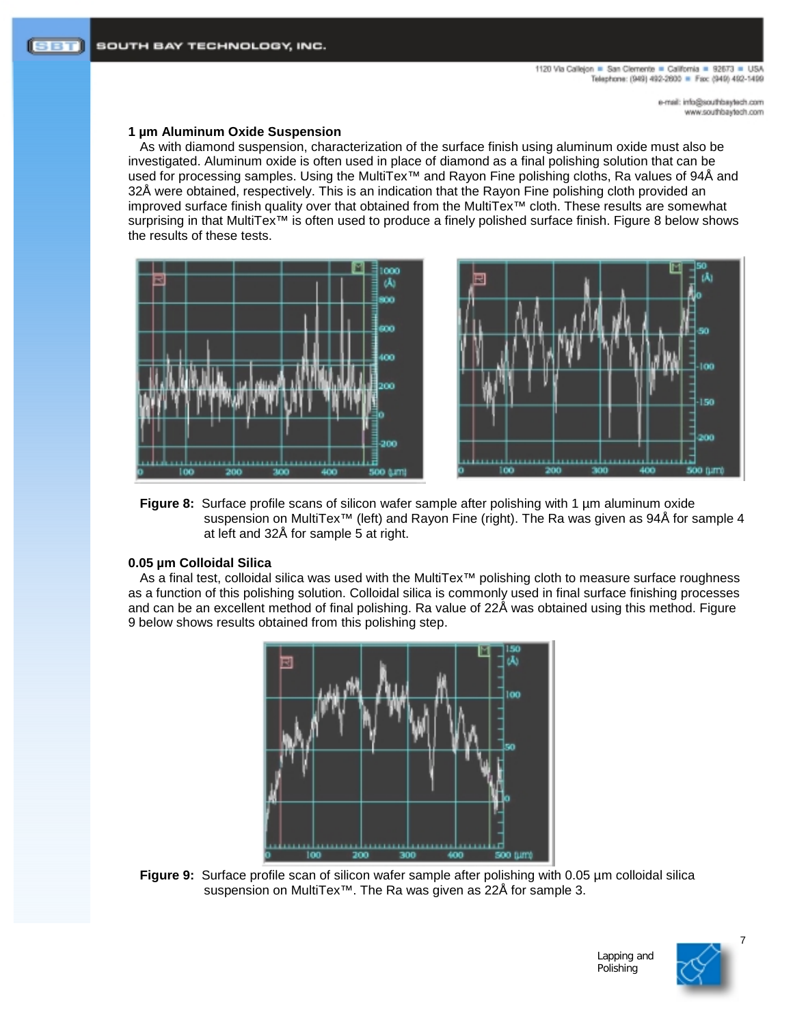# **1 µm Aluminum Oxide Suspension**

As with diamond suspension, characterization of the surface finish using aluminum oxide must also be investigated. Aluminum oxide is often used in place of diamond as a final polishing solution that can be used for processing samples. Using the MultiTex™ and Rayon Fine polishing cloths, Ra values of 94Å and 32Å were obtained, respectively. This is an indication that the Rayon Fine polishing cloth provided an improved surface finish quality over that obtained from the MultiTex™ cloth. These results are somewhat surprising in that MultiTex<sup>™</sup> is often used to produce a finely polished surface finish. Figure 8 below shows the results of these tests.





**Figure 8:** Surface profile scans of silicon wafer sample after polishing with 1 µm aluminum oxide suspension on MultiTex<sup>™</sup> (left) and Rayon Fine (right). The Ra was given as 94Å for sample 4 at left and 32Å for sample 5 at right.

### **0.05 µm Colloidal Silica**

As a final test, colloidal silica was used with the MultiTex™ polishing cloth to measure surface roughness as a function of this polishing solution. Colloidal silica is commonly used in final surface finishing processes and can be an excellent method of final polishing. Ra value of 22Å was obtained using this method. Figure 9 below shows results obtained from this polishing step.



**Figure 9:** Surface profile scan of silicon wafer sample after polishing with 0.05 µm colloidal silica suspension on MultiTex<sup>™</sup>. The Ra was given as 22Å for sample 3.